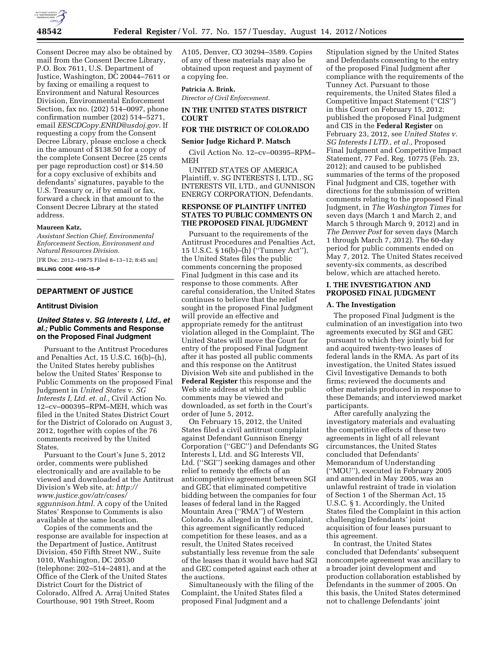

Consent Decree may also be obtained by mail from the Consent Decree Library, P.O. Box 7611, U.S. Department of Justice, Washington, DC 20044–7611 or by faxing or emailing a request to Environment and Natural Resources Division, Environmental Enforcement Section, fax no. (202) 514–0097, phone confirmation number (202) 514–5271, email *[EESCDCopy.ENRD@usdoj.gov.](mailto:EESCDCopy.ENRD@usdoj.gov)* If requesting a copy from the Consent Decree Library, please enclose a check in the amount of \$138.50 for a copy of the complete Consent Decree (25 cents per page reproduction cost) or \$14.50 for a copy exclusive of exhibits and defendants' signatures, payable to the U.S. Treasury or, if by email or fax, forward a check in that amount to the Consent Decree Library at the stated address.

#### **Maureen Katz,**

*Assistant Section Chief, Environmental Enforcement Section, Environment and Natural Resources Division.* 

[FR Doc. 2012–19875 Filed 8–13–12; 8:45 am] **BILLING CODE 4410–15–P** 

# **DEPARTMENT OF JUSTICE**

#### **Antitrust Division**

# *United States* **v.** *SG Interests I, Ltd., et al.;* **Public Comments and Response on the Proposed Final Judgment**

Pursuant to the Antitrust Procedures and Penalties Act, 15 U.S.C. 16(b)–(h), the United States hereby publishes below the United States' Response to Public Comments on the proposed Final Judgment in *United States* v. *SG Interests I, Ltd. et. al.,* Civil Action No. 12–cv–000395–RPM–MEH, which was filed in the United States District Court for the District of Colorado on August 3, 2012, together with copies of the 76 comments received by the United States.

Pursuant to the Court's June 5, 2012 order, comments were published electronically and are available to be viewed and downloaded at the Antitrust Division's Web site, at: *[http://](http://www.justice.gov/atr/cases/sggunnison.html) [www.justice.gov/atr/cases/](http://www.justice.gov/atr/cases/sggunnison.html)  [sggunnison.html.](http://www.justice.gov/atr/cases/sggunnison.html)* A copy of the United States' Response to Comments is also available at the same location.

Copies of the comments and the response are available for inspection at the Department of Justice, Antitrust Division, 450 Fifth Street NW., Suite 1010, Washington, DC 20530 (telephone: 202–514–2481), and at the Office of the Clerk of the United States District Court for the District of Colorado, Alfred A. Arraj United States Courthouse, 901 19th Street, Room

A105, Denver, CO 30294–3589. Copies of any of these materials may also be obtained upon request and payment of a copying fee.

#### **Patricia A. Brink,**

*Director of Civil Enforcement.* 

#### **IN THE UNITED STATES DISTRICT COURT**

# **FOR THE DISTRICT OF COLORADO**

#### **Senior Judge Richard P. Matsch**

Civil Action No. 12–cv–00395–RPM– MEH

UNITED STATES OF AMERICA Plaintiff, v. SG INTERESTS I, LTD., SG INTERESTS VII, LTD., and GUNNISON ENERGY CORPORATION, Defendants.

### **RESPONSE OF PLAINTIFF UNITED STATES TO PUBLIC COMMENTS ON THE PROPOSED FINAL JUDGMENT**

Pursuant to the requirements of the Antitrust Procedures and Penalties Act, 15 U.S.C. § 16(b)–(h) (''Tunney Act''), the United States files the public comments concerning the proposed Final Judgment in this case and its response to those comments. After careful consideration, the United States continues to believe that the relief sought in the proposed Final Judgment will provide an effective and appropriate remedy for the antitrust violation alleged in the Complaint. The United States will move the Court for entry of the proposed Final Judgment after it has posted all public comments and this response on the Antitrust Division Web site and published in the **Federal Register** this response and the Web site address at which the public comments may be viewed and downloaded, as set forth in the Court's order of June 5, 2012.

On February 15, 2012, the United States filed a civil antitrust complaint against Defendant Gunnison Energy Corporation (''GEC'') and Defendants SG Interests I, Ltd. and SG Interests VII, Ltd. (''SGI'') seeking damages and other relief to remedy the effects of an anticompetitive agreement between SGI and GEC that eliminated competitive bidding between the companies for four leases of federal land in the Ragged Mountain Area (''RMA'') of Western Colorado. As alleged in the Complaint, this agreement significantly reduced competition for these leases, and as a result, the United States received substantially less revenue from the sale of the leases than it would have had SGI and GEC competed against each other at the auctions.

Simultaneously with the filing of the Complaint, the United States filed a proposed Final Judgment and a

Stipulation signed by the United States and Defendants consenting to the entry of the proposed Final Judgment after compliance with the requirements of the Tunney Act. Pursuant to those requirements, the United States filed a Competitive Impact Statement (''CIS'') in this Court on February 15, 2012; published the proposed Final Judgment and CIS in the **Federal Register** on February 23, 2012, see *United States v. SG Interests I LTD., et al.,* Proposed Final Judgment and Competitive Impact Statement, 77 Fed. Reg. 10775 (Feb. 23, 2012); and caused to be published summaries of the terms of the proposed Final Judgment and CIS, together with directions for the submission of written comments relating to the proposed Final Judgment, in *The Washington Times* for seven days (March 1 and March 2, and March 5 through March 9, 2012) and in *The Denver Post* for seven days (March 1 through March 7, 2012). The 60-day period for public comments ended on May 7, 2012. The United States received seventy-six comments, as described below, which are attached hereto.

### **I. THE INVESTIGATION AND PROPOSED FINAL JUDGMENT**

## **A. The Investigation**

The proposed Final Judgment is the culmination of an investigation into two agreements executed by SGI and GEC pursuant to which they jointly bid for and acquired twenty-two leases of federal lands in the RMA. As part of its investigation, the United States issued Civil Investigative Demands to both firms; reviewed the documents and other materials produced in response to these Demands; and interviewed market participants.

After carefully analyzing the investigatory materials and evaluating the competitive effects of these two agreements in light of all relevant circumstances, the United States concluded that Defendants' Memorandum of Understanding (''MOU''), executed in February 2005 and amended in May 2005, was an unlawful restraint of trade in violation of Section 1 of the Sherman Act, 15 U.S.C. § 1. Accordingly, the United States filed the Complaint in this action challenging Defendants' joint acquisition of four leases pursuant to this agreement.

In contrast, the United States concluded that Defendants' subsequent noncompete agreement was ancillary to a broader joint development and production collaboration established by Defendants in the summer of 2005. On this basis, the United States determined not to challenge Defendants' joint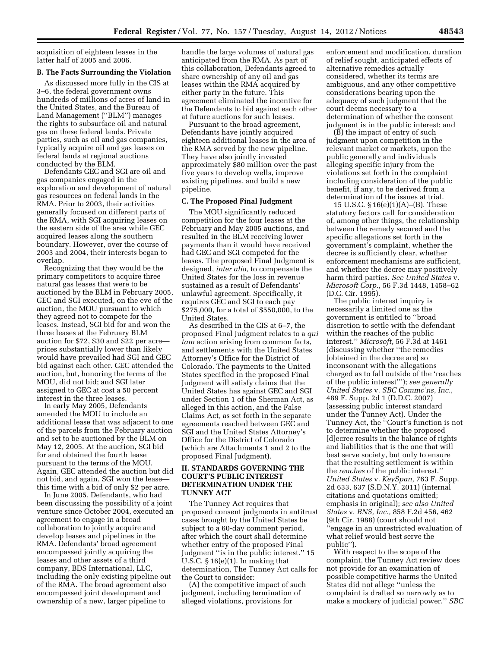acquisition of eighteen leases in the latter half of 2005 and 2006.

#### **B. The Facts Surrounding the Violation**

As discussed more fully in the CIS at 3–6, the federal government owns hundreds of millions of acres of land in the United States, and the Bureau of Land Management (''BLM'') manages the rights to subsurface oil and natural gas on these federal lands. Private parties, such as oil and gas companies, typically acquire oil and gas leases on federal lands at regional auctions conducted by the BLM.

Defendants GEC and SGI are oil and gas companies engaged in the exploration and development of natural gas resources on federal lands in the RMA. Prior to 2003, their activities generally focused on different parts of the RMA, with SGI acquiring leases on the eastern side of the area while GEC acquired leases along the southern boundary. However, over the course of 2003 and 2004, their interests began to overlap.

Recognizing that they would be the primary competitors to acquire three natural gas leases that were to be auctioned by the BLM in February 2005, GEC and SGI executed, on the eve of the auction, the MOU pursuant to which they agreed not to compete for the leases. Instead, SGI bid for and won the three leases at the February BLM auction for \$72, \$30 and \$22 per acre prices substantially lower than likely would have prevailed had SGI and GEC bid against each other. GEC attended the auction, but, honoring the terms of the MOU, did not bid; and SGI later assigned to GEC at cost a 50 percent interest in the three leases.

In early May 2005, Defendants amended the MOU to include an additional lease that was adjacent to one of the parcels from the February auction and set to be auctioned by the BLM on May 12, 2005. At the auction, SGI bid for and obtained the fourth lease pursuant to the terms of the MOU. Again, GEC attended the auction but did not bid, and again, SGI won the lease this time with a bid of only \$2 per acre.

In June 2005, Defendants, who had been discussing the possibility of a joint venture since October 2004, executed an agreement to engage in a broad collaboration to jointly acquire and develop leases and pipelines in the RMA. Defendants' broad agreement encompassed jointly acquiring the leases and other assets of a third company, BDS International, LLC, including the only existing pipeline out of the RMA. The broad agreement also encompassed joint development and ownership of a new, larger pipeline to

handle the large volumes of natural gas anticipated from the RMA. As part of this collaboration, Defendants agreed to share ownership of any oil and gas leases within the RMA acquired by either party in the future. This agreement eliminated the incentive for the Defendants to bid against each other at future auctions for such leases.

Pursuant to the broad agreement, Defendants have jointly acquired eighteen additional leases in the area of the RMA served by the new pipeline. They have also jointly invested approximately \$80 million over the past five years to develop wells, improve existing pipelines, and build a new pipeline.

#### **C. The Proposed Final Judgment**

The MOU significantly reduced competition for the four leases at the February and May 2005 auctions, and resulted in the BLM receiving lower payments than it would have received had GEC and SGI competed for the leases. The proposed Final Judgment is designed, *inter alia,* to compensate the United States for the loss in revenue sustained as a result of Defendants' unlawful agreement. Specifically, it requires GEC and SGI to each pay \$275,000, for a total of \$550,000, to the United States.

As described in the CIS at 6–7, the proposed Final Judgment relates to a *qui tam* action arising from common facts, and settlements with the United States Attorney's Office for the District of Colorado. The payments to the United States specified in the proposed Final Judgment will satisfy claims that the United States has against GEC and SGI under Section 1 of the Sherman Act, as alleged in this action, and the False Claims Act, as set forth in the separate agreements reached between GEC and SGI and the United States Attorney's Office for the District of Colorado (which are Attachments 1 and 2 to the proposed Final Judgment).

## **II. STANDARDS GOVERNING THE COURT'S PUBLIC INTEREST DETERMINATION UNDER THE TUNNEY ACT**

The Tunney Act requires that proposed consent judgments in antitrust cases brought by the United States be subject to a 60-day comment period, after which the court shall determine whether entry of the proposed Final Judgment "is in the public interest." 15 U.S.C.  $\S 16(e)(1)$ . In making that determination, The Tunney Act calls for the Court to consider:

(A) the competitive impact of such judgment, including termination of alleged violations, provisions for

enforcement and modification, duration of relief sought, anticipated effects of alternative remedies actually considered, whether its terms are ambiguous, and any other competitive considerations bearing upon the adequacy of such judgment that the court deems necessary to a determination of whether the consent judgment is in the public interest; and

(B) the impact of entry of such judgment upon competition in the relevant market or markets, upon the public generally and individuals alleging specific injury from the violations set forth in the complaint including consideration of the public benefit, if any, to be derived from a determination of the issues at trial.

15 U.S.C. § 16(e)(1)(A)–(B). These statutory factors call for consideration of, among other things, the relationship between the remedy secured and the specific allegations set forth in the government's complaint, whether the decree is sufficiently clear, whether enforcement mechanisms are sufficient, and whether the decree may positively harm third parties. *See United States* v. *Microsoft Corp.,* 56 F.3d 1448, 1458–62 (D.C. Cir. 1995).

The public interest inquiry is necessarily a limited one as the government is entitled to ''broad discretion to settle with the defendant within the reaches of the public interest.'' *Microsoft,* 56 F.3d at 1461 (discussing whether ''the remedies [obtained in the decree are] so inconsonant with the allegations charged as to fall outside of the 'reaches of the public interest'''); *see generally United States* v. *SBC Commc'ns, Inc.,*  489 F. Supp. 2d 1 (D.D.C. 2007) (assessing public interest standard under the Tunney Act). Under the Tunney Act, the ''Court's function is not to determine whether the proposed [d]ecree results in the balance of rights and liabilities that is the one that will best serve society, but only to ensure that the resulting settlement is within the *reaches* of the public interest.'' *United States* v. *KeySpan,* 763 F. Supp. 2d 633, 637 (S.D.N.Y. 2011) (internal citations and quotations omitted; emphasis in original); *see also United States* v. *BNS, Inc.,* 858 F.2d 456, 462 (9th Cir. 1988) (court should not ''engage in an unrestricted evaluation of what relief would best serve the public'').

With respect to the scope of the complaint, the Tunney Act review does not provide for an examination of possible competitive harms the United States did not allege ''unless the complaint is drafted so narrowly as to make a mockery of judicial power.'' *SBC*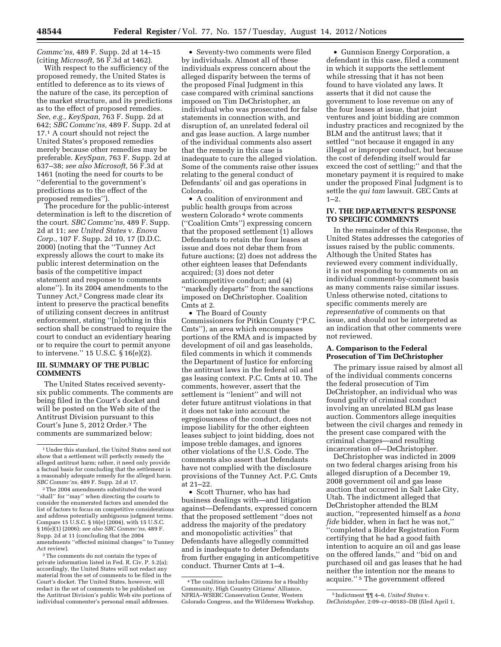*Commc'ns,* 489 F. Supp. 2d at 14–15 (citing *Microsoft,* 56 F.3d at 1462).

With respect to the sufficiency of the proposed remedy, the United States is entitled to deference as to its views of the nature of the case, its perception of the market structure, and its predictions as to the effect of proposed remedies. *See, e.g., KeySpan,* 763 F. Supp. 2d at 642; *SBC Commc'ns,* 489 F. Supp. 2d at 17.1 A court should not reject the United States's proposed remedies merely because other remedies may be preferable. *KeySpan,* 763 F. Supp. 2d at 637–38; *see also Microsoft,* 56 F.3d at 1461 (noting the need for courts to be ''deferential to the government's predictions as to the effect of the proposed remedies'').

The procedure for the public-interest determination is left to the discretion of the court. *SBC Commc'ns,* 489 F. Supp. 2d at 11; *see United States* v. *Enova Corp.,* 107 F. Supp. 2d 10, 17 (D.D.C. 2000) (noting that the ''Tunney Act expressly allows the court to make its public interest determination on the basis of the competitive impact statement and response to comments alone''). In its 2004 amendments to the Tunney Act,2 Congress made clear its intent to preserve the practical benefits of utilizing consent decrees in antitrust enforcement, stating ''[n]othing in this section shall be construed to require the court to conduct an evidentiary hearing or to require the court to permit anyone to intervene.'' 15 U.S.C. § 16(e)(2).

# **III. SUMMARY OF THE PUBLIC COMMENTS**

The United States received seventysix public comments. The comments are being filed in the Court's docket and will be posted on the Web site of the Antitrust Division pursuant to this Court's June 5, 2012 Order.3 The comments are summarized below:

2The 2004 amendments substituted the word ''shall'' for ''may'' when directing the courts to consider the enumerated factors and amended the list of factors to focus on competitive considerations and address potentially ambiguous judgment terms. Compare 15 U.S.C. § 16(e) (2004), with 15 U.S.C. § 16(e)(1) (2006); *see also SBC Commc'ns,* 489 F. Supp. 2d at 11 (concluding that the 2004 amendments ''effected minimal changes'' to Tunney Act review).

3The comments do not contain the types of private information listed in Fed. R. Civ. P. 5.2(a); accordingly, the United States will not redact any material from the set of comments to be filed in the Court's docket. The United States, however, will redact in the set of comments to be published on the Antitrust Division's public Web site portions of individual commenter's personal email addresses.

• Seventy-two comments were filed by individuals. Almost all of these individuals express concern about the alleged disparity between the terms of the proposed Final Judgment in this case compared with criminal sanctions imposed on Tim DeChristopher, an individual who was prosecuted for false statements in connection with, and disruption of, an unrelated federal oil and gas lease auction. A large number of the individual comments also assert that the remedy in this case is inadequate to cure the alleged violation. Some of the comments raise other issues relating to the general conduct of Defendants' oil and gas operations in Colorado.

• A coalition of environment and public health groups from across western Colorado 4 wrote comments (''Coalition Cmts'') expressing concern that the proposed settlement (1) allows Defendants to retain the four leases at issue and does not debar them from future auctions; (2) does not address the other eighteen leases that Defendants acquired; (3) does not deter anticompetitive conduct; and (4) ''markedly departs'' from the sanctions imposed on DeChristopher. Coalition Cmts at 2.

• The Board of County Commissioners for Pitkin County (''P.C. Cmts''), an area which encompasses portions of the RMA and is impacted by development of oil and gas leaseholds, filed comments in which it commends the Department of Justice for enforcing the antitrust laws in the federal oil and gas leasing context. P.C. Cmts at 10. The comments, however, assert that the settlement is ''lenient'' and will not deter future antitrust violations in that it does not take into account the egregiousness of the conduct, does not impose liability for the other eighteen leases subject to joint bidding, does not impose treble damages, and ignores other violations of the U.S. Code. The comments also assert that Defendants have not complied with the disclosure provisions of the Tunney Act. P.C. Cmts at 21–22.

• Scott Thurner, who has had business dealings with—and litigation against—Defendants, expressed concern that the proposed settlement ''does not address the majority of the predatory and monopolistic activities'' that Defendants have allegedly committed and is inadequate to deter Defendants from further engaging in anticompetitive conduct. Thurner Cmts at 1–4.

• Gunnison Energy Corporation, a defendant in this case, filed a comment in which it supports the settlement while stressing that it has not been found to have violated any laws. It asserts that it did not cause the government to lose revenue on any of the four leases at issue, that joint ventures and joint bidding are common industry practices and recognized by the BLM and the antitrust laws; that it settled ''not because it engaged in any illegal or improper conduct, but because the cost of defending itself would far exceed the cost of settling;'' and that the monetary payment it is required to make under the proposed Final Judgment is to settle the *qui tam* lawsuit. GEC Cmts at  $1 - 2$ .

### **IV. THE DEPARTMENT'S RESPONSE TO SPECIFIC COMMENTS**

In the remainder of this Response, the United States addresses the categories of issues raised by the public comments. Although the United States has reviewed every comment individually, it is not responding to comments on an individual comment-by-comment basis as many comments raise similar issues. Unless otherwise noted, citations to specific comments merely are *representative* of comments on that issue, and should not be interpreted as an indication that other comments were not reviewed.

# **A. Comparison to the Federal Prosecution of Tim DeChristopher**

The primary issue raised by almost all of the individual comments concerns the federal prosecution of Tim DeChristopher, an individual who was found guilty of criminal conduct involving an unrelated BLM gas lease auction. Commentors allege inequities between the civil charges and remedy in the present case compared with the criminal charges—and resulting incarceration of—DeChristopher.

DeChristopher was indicted in 2009 on two federal charges arising from his alleged disruption of a December 19, 2008 government oil and gas lease auction that occurred in Salt Lake City, Utah. The indictment alleged that DeChristopher attended the BLM auction, ''represented himself as a *bona fide* bidder, when in fact he was not,'' ''completed a Bidder Registration Form certifying that he had a good faith intention to acquire an oil and gas lease on the offered lands,'' and ''bid on and purchased oil and gas leases that he had neither the intention nor the means to acquire.'' 5 The government offered

<sup>1</sup>Under this standard, the United States need not show that a settlement will perfectly remedy the alleged antitrust harm; rather, it need only provide a factual basis for concluding that the settlement is a reasonably adequate remedy for the alleged harm. *SBC Commc'ns,* 489 F. Supp. 2d at 17.

<sup>4</sup>The coalition includes Citizens for a Healthy Community, High Country Citizens' Alliance, NFRIA–WSERC Conservation Center, Western Colorado Congress, and the Wilderness Workshop.

<sup>5</sup> Indictment ¶¶ 4–6, *United States* v.

*DeChristopher,* 2:09–cr–00183–DB (filed April 1,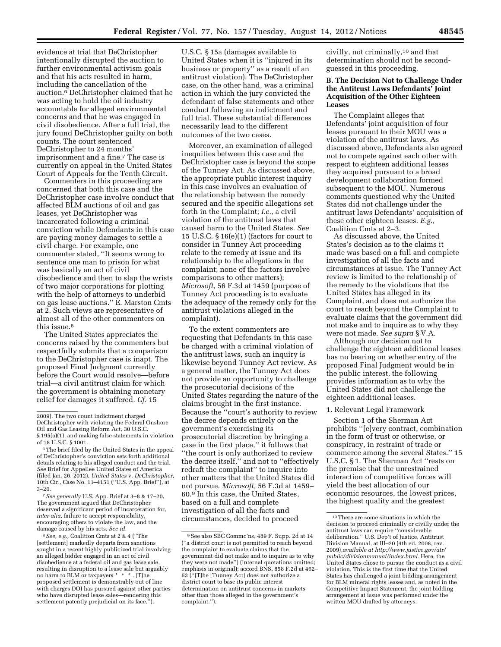evidence at trial that DeChristopher intentionally disrupted the auction to further environmental activism goals and that his acts resulted in harm, including the cancellation of the auction.6 DeChristopher claimed that he was acting to hold the oil industry accountable for alleged environmental concerns and that he was engaged in civil disobedience. After a full trial, the jury found DeChristopher guilty on both counts. The court sentenced DeChristopher to 24 months' imprisonment and a fine.7 The case is currently on appeal in the United States Court of Appeals for the Tenth Circuit.

Commenters in this proceeding are concerned that both this case and the DeChristopher case involve conduct that affected BLM auctions of oil and gas leases, yet DeChristopher was incarcerated following a criminal conviction while Defendants in this case are paying money damages to settle a civil charge. For example, one commenter stated, ''It seems wrong to sentence one man to prison for what was basically an act of civil disobedience and then to slap the wrists of two major corporations for plotting with the help of attorneys to underbid on gas lease auctions.'' E. Marston Cmts at 2. Such views are representative of almost all of the other commenters on this issue.<sup>8</sup>

The United States appreciates the concerns raised by the commenters but respectfully submits that a comparison to the DeChristopher case is inapt. The proposed Final Judgment currently before the Court would resolve—before trial—a civil antitrust claim for which the government is obtaining monetary relief for damages it suffered. *Cf.* 15

7*See generally* U.S. App. Brief at 3–8 & 17–20. The government argued that DeChristopher deserved a significant period of incarceration for, *inter alia,* failure to accept responsibility, encouraging others to violate the law, and the damage caused by his acts. *See id.* 

8*See, e.g.,* Coalition Cmts at 2 & 4 (''The [settlement] markedly departs from sanctions sought in a recent highly publicized trial involving an alleged bidder engaged in an act of civil disobedience at a federal oil and gas lease sale, resulting in disruption to a lease sale but arguably no harm to BLM or taxpayers \* \* \* . [T]he proposed settlement is demonstrably out of line with charges DOJ has pursued against other parties who have disrupted lease sales—rendering this settlement patently prejudicial on its face.'').

U.S.C. § 15a (damages available to United States when it is ''injured in its business or property'' as a result of an antitrust violation). The DeChristopher case, on the other hand, was a criminal action in which the jury convicted the defendant of false statements and other conduct following an indictment and full trial. These substantial differences necessarily lead to the different outcomes of the two cases.

Moreover, an examination of alleged inequities between this case and the DeChristopher case is beyond the scope of the Tunney Act. As discussed above, the appropriate public interest inquiry in this case involves an evaluation of the relationship between the remedy secured and the specific allegations set forth in the Complaint; *i.e.,* a civil violation of the antitrust laws that caused harm to the United States. *See*  15 U.S.C. § 16(e)(1) (factors for court to consider in Tunney Act proceeding relate to the remedy at issue and its relationship to the allegations in the complaint; none of the factors involve comparisons to other matters); *Microsoft,* 56 F.3d at 1459 (purpose of Tunney Act proceeding is to evaluate the adequacy of the remedy only for the antitrust violations alleged in the complaint).

To the extent commenters are requesting that Defendants in this case be charged with a criminal violation of the antitrust laws, such an inquiry is likewise beyond Tunney Act review. As a general matter, the Tunney Act does not provide an opportunity to challenge the prosecutorial decisions of the United States regarding the nature of the claims brought in the first instance. Because the ''court's authority to review the decree depends entirely on the government's exercising its prosecutorial discretion by bringing a case in the first place,'' it follows that ''the court is only authorized to review the decree itself,'' and not to ''effectively redraft the complaint'' to inquire into other matters that the United States did not pursue. *Microsoft,* 56 F.3d at 1459– 60.9 In this case, the United States, based on a full and complete investigation of all the facts and circumstances, decided to proceed

civilly, not criminally,10 and that determination should not be secondguessed in this proceeding.

## **B. The Decision Not to Challenge Under the Antitrust Laws Defendants' Joint Acquisition of the Other Eighteen Leases**

The Complaint alleges that Defendants' joint acquisition of four leases pursuant to their MOU was a violation of the antitrust laws. As discussed above, Defendants also agreed not to compete against each other with respect to eighteen additional leases they acquired pursuant to a broad development collaboration formed subsequent to the MOU. Numerous comments questioned why the United States did not challenge under the antitrust laws Defendants' acquisition of these other eighteen leases. *E.g.,*  Coalition Cmts at 2–3.

As discussed above, the United States's decision as to the claims it made was based on a full and complete investigation of all the facts and circumstances at issue. The Tunney Act review is limited to the relationship of the remedy to the violations that the United States has alleged in its Complaint, and does not authorize the court to reach beyond the Complaint to evaluate claims that the government did not make and to inquire as to why they were not made. *See supra* § V.A.

Although our decision not to challenge the eighteen additional leases has no bearing on whether entry of the proposed Final Judgment would be in the public interest, the following provides information as to why the United States did not challenge the eighteen additional leases.

#### 1. Relevant Legal Framework

Section 1 of the Sherman Act prohibits ''[e]very contract, combination in the form of trust or otherwise, or conspiracy, in restraint of trade or commerce among the several States.'' 15 U.S.C. § 1. The Sherman Act ''rests on the premise that the unrestrained interaction of competitive forces will yield the best allocation of our economic resources, the lowest prices, the highest quality and the greatest

<sup>2009).</sup> The two count indictment charged DeChristopher with violating the Federal Onshore Oil and Gas Leasing Reform Act, 30 U.S.C. § 195(a)(1), and making false statements in violation of 18 U.S.C. § 1001.

<sup>6</sup>The brief filed by the United States in the appeal of DeChristopher's conviction sets forth additional details relating to his alleged conduct and the trial. *See* Brief for Appellee United States of America (filed Jan. 26, 2012), *United States* v. *DeChristopher,*  10th Cir., Case No. 11–4151 (''U.S. App. Brief''), at 3–20.

<sup>9</sup>See also SBC Commc'ns, 489 F. Supp. 2d at 14 (''a district court is not permitted to reach beyond the complaint to evaluate claims that the government did not make and to inquire as to why they were not made'') (internal quotations omitted; emphasis in original); accord BNS, 858 F.2d at 462– 63 (''[T]he [Tunney Act] does not authorize a district court to base its public interest determination on antitrust concerns in markets other than those alleged in the government's complaint.'').

<sup>10</sup>There are some situations in which the decision to proceed criminally or civilly under the antitrust laws can require ''considerable deliberation.'' U.S. Dep't of Justice, Antitrust Division Manual, at III–20 (4th ed. 2008, rev. 2009),*available at [http://www.justice.gov/atr/](http://www.justice.gov/atr/public/divisionmanual/index.html)  [public/divisionmanual/index.html.](http://www.justice.gov/atr/public/divisionmanual/index.html)* Here, the United States chose to pursue the conduct as a civil violation. This is the first time that the United States has challenged a joint bidding arrangement for BLM mineral rights leases and, as noted in the Competitive Impact Statement, the joint bidding arrangement at issue was performed under the written MOU drafted by attorneys.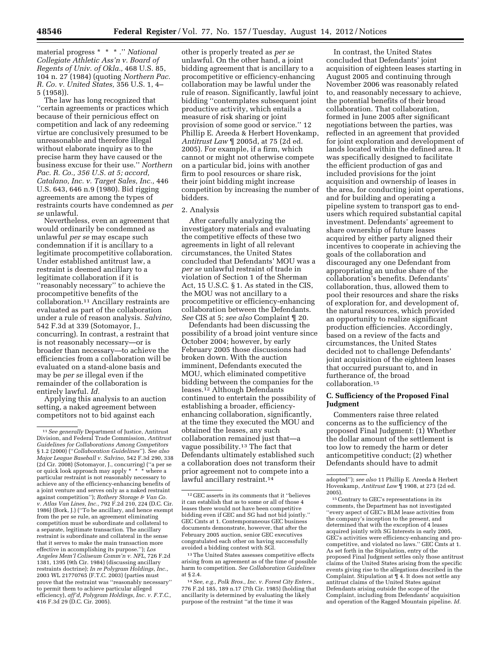material progress \* \* \* .'' *National Collegiate Athletic Ass'n v. Board of Regents of Univ. of Okla.,* 468 U.S. 85, 104 n. 27 (1984) (quoting *Northern Pac. R. Co. v. United States,* 356 U.S. 1, 4– 5 (1958)).

The law has long recognized that ''certain agreements or practices which because of their pernicious effect on competition and lack of any redeeming virtue are conclusively presumed to be unreasonable and therefore illegal without elaborate inquiry as to the precise harm they have caused or the business excuse for their use.'' *Northern Pac. R. Co., 356 U.S. at 5; accord, Catalano, Inc. v. Target Sales, Inc.,* 446 U.S. 643, 646 n.9 (1980). Bid rigging agreements are among the types of restraints courts have condemned as *per se* unlawful.

Nevertheless, even an agreement that would ordinarily be condemned as unlawful *per se* may escape such condemnation if it is ancillary to a legitimate procompetitive collaboration. Under established antitrust law, a restraint is deemed ancillary to a legitimate collaboration if it is ''reasonably necessary'' to achieve the procompetitive benefits of the collaboration.11 Ancillary restraints are evaluated as part of the collaboration under a rule of reason analysis. *Salvino,*  542 F.3d at 339 (Sotomayor, J., concurring). In contrast, a restraint that is not reasonably necessary—or is broader than necessary—to achieve the efficiencies from a collaboration will be evaluated on a stand-alone basis and may be *per se* illegal even if the remainder of the collaboration is entirely lawful. *Id.* 

Applying this analysis to an auction setting, a naked agreement between competitors not to bid against each

other is properly treated as *per se*  unlawful. On the other hand, a joint bidding agreement that is ancillary to a procompetitive or efficiency-enhancing collaboration may be lawful under the rule of reason. Significantly, lawful joint bidding ''contemplates subsequent joint productive activity, which entails a measure of risk sharing or joint provision of some good or service.'' 12 Phillip E. Areeda & Herbert Hovenkamp, *Antitrust Law* ¶ 2005d, at 75 (2d ed. 2005). For example, if a firm, which cannot or might not otherwise compete on a particular bid, joins with another firm to pool resources or share risk, their joint bidding might increase competition by increasing the number of bidders.

# 2. Analysis

After carefully analyzing the investigatory materials and evaluating the competitive effects of these two agreements in light of all relevant circumstances, the United States concluded that Defendants' MOU was a *per se* unlawful restraint of trade in violation of Section 1 of the Sherman Act, 15 U.S.C. § 1. As stated in the CIS, the MOU was not ancillary to a procompetitive or efficiency-enhancing collaboration between the Defendants. *See* CIS at 5; *see also* Complaint ¶ 20.

Defendants had been discussing the possibility of a broad joint venture since October 2004; however, by early February 2005 those discussions had broken down. With the auction imminent, Defendants executed the MOU, which eliminated competitive bidding between the companies for the leases.<sup>12</sup> Although Defendants continued to entertain the possibility of establishing a broader, efficiencyenhancing collaboration, significantly, at the time they executed the MOU and obtained the leases, any such collaboration remained just that—a vague possibility.13 The fact that Defendants ultimately established such a collaboration does not transform their prior agreement not to compete into a lawful ancillary restraint.14

In contrast, the United States concluded that Defendants' joint acquisition of eighteen leases starting in August 2005 and continuing through November 2006 was reasonably related to, and reasonably necessary to achieve, the potential benefits of their broad collaboration. That collaboration, formed in June 2005 after significant negotiations between the parties, was reflected in an agreement that provided for joint exploration and development of lands located within the defined area. It was specifically designed to facilitate the efficient production of gas and included provisions for the joint acquisition and ownership of leases in the area, for conducting joint operations, and for building and operating a pipeline system to transport gas to endusers which required substantial capital investment. Defendants' agreement to share ownership of future leases acquired by either party aligned their incentives to cooperate in achieving the goals of the collaboration and discouraged any one Defendant from appropriating an undue share of the collaboration's benefits. Defendants' collaboration, thus, allowed them to pool their resources and share the risks of exploration for, and development of, the natural resources, which provided an opportunity to realize significant production efficiencies. Accordingly, based on a review of the facts and circumstances, the United States decided not to challenge Defendants' joint acquisition of the eighteen leases that occurred pursuant to, and in furtherance of, the broad collaboration.15

#### **C. Sufficiency of the Proposed Final Judgment**

Commenters raise three related concerns as to the sufficiency of the proposed Final Judgment: (1) Whether the dollar amount of the settlement is too low to remedy the harm or deter anticompetitive conduct; (2) whether Defendants should have to admit

<sup>15</sup> Contrary to GEC's representations in its comments, the Department has not investigated ''every aspect of GEC's BLM lease activities from the company's inception to the present, and determined that with the exception of 4 leases acquired jointly with SG Interests in early 2005, GEC's activities were efficiency-enhancing and procompetitive, and violated no laws.'' GEC Cmts at 1. As set forth in the Stipulation, entry of the proposed Final Judgment settles only those antitrust claims of the United States arising from the specific events giving rise to the allegations described in the Complaint. Stipulation at ¶ 4. It does not settle any antitrust claims of the United States against Defendants arising outside the scope of the Complaint, including from Defendants' acquisition and operation of the Ragged Mountain pipeline. *Id.* 

<sup>11</sup>*See generally* Department of Justice, Antitrust Division, and Federal Trade Commission, *Antitrust Guidelines for Collaborations Among Competitors*  § 1.2 (2000) (''*Collaboration Guidelines*''). *See also Major League Baseball v. Salvino,* 542 F.3d 290, 338 (2d Cir. 2008) (Sotomayor, J., concurring) (''a per se or quick look approach may apply \* \* \* where a particular restraint is not reasonably necessary to achieve any of the efficiency-enhancing benefits of a joint venture and serves only as a naked restraint against competition''); *Rothery Storage & Van Co. v. Atlas Van Lines, Inc.,* 792 F.2d 210, 224 (D.C. Cir. 1986) (Bork, J.) (''To be ancillary, and hence exempt from the per se rule, an agreement eliminating competition must be subordinate and collateral to a separate, legitimate transaction. The ancillary restraint is subordinate and collateral in the sense that it serves to make the main transaction more effective in accomplishing its purpose.''); *Los Angeles Mem'l Coliseum Comm'n v. NFL,* 726 F.2d 1381, 1395 (9th Cir. 1984) (discussing ancillary restraints doctrine); *In re Polygram Holdings, Inc.,*  2003 WL 21770765 (F.T.C. 2003) (parties must prove that the restraint was ''reasonably necessary'' to permit them to achieve particular alleged efficiency), *aff'd, Polygram Holdings, Inc. v. F.T.C.,*  416 F.3d 29 (D.C. Cir. 2005).

<sup>12</sup> GEC asserts in its comments that it ''believes it can establish that as to some or all of those 4 leases there would not have been competitive bidding even if GEC and SG had not bid jointly.'' GEC Cmts at 1. Contemporaneous GEC business documents demonstrate, however, that after the February 2005 auction, senior GEC executives congratulated each other on having successfully avoided a bidding contest with SGI.

<sup>13</sup>The United States assesses competitive effects arising from an agreement as of the time of possible harm to competition. *See Collaboration Guidelines*  at § 2.4.

<sup>14</sup>*See, e.g., Polk Bros., Inc. v. Forest City Enters.,*  776 F.2d 185, 189 n.17 (7th Cir. 1985) (holding that ancillarity is determined by evaluating the likely purpose of the restraint ''at the time it was

adopted''); *see also* 11 Phillip E. Areeda & Herbert Hovenkamp, *Antitrust Law* ¶ 1908, at 273 (2d ed.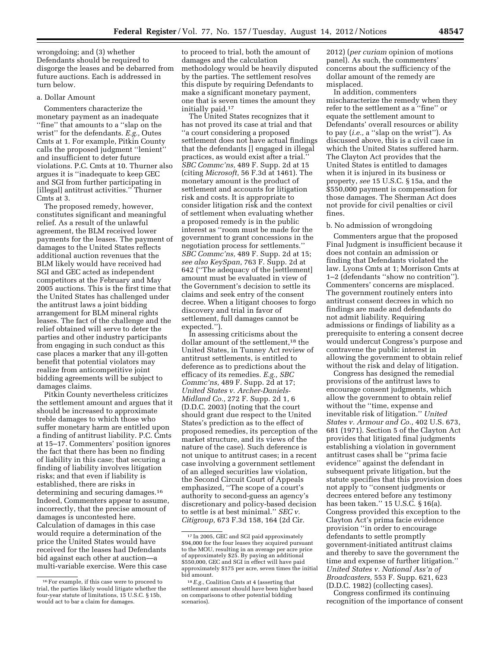wrongdoing; and (3) whether Defendants should be required to disgorge the leases and be debarred from future auctions. Each is addressed in turn below.

## a. Dollar Amount

Commenters characterize the monetary payment as an inadequate ''fine'' that amounts to a ''slap on the wrist'' for the defendants. *E.g.,* Outes Cmts at 1. For example, Pitkin County calls the proposed judgment ''lenient'' and insufficient to deter future violations. P.C. Cmts at 10. Thurner also argues it is ''inadequate to keep GEC and SGI from further participating in [illegal] antitrust activities.'' Thurner Cmts at 3.

The proposed remedy, however, constitutes significant and meaningful relief. As a result of the unlawful agreement, the BLM received lower payments for the leases. The payment of damages to the United States reflects additional auction revenues that the BLM likely would have received had SGI and GEC acted as independent competitors at the February and May 2005 auctions. This is the first time that the United States has challenged under the antitrust laws a joint bidding arrangement for BLM mineral rights leases. The fact of the challenge and the relief obtained will serve to deter the parties and other industry participants from engaging in such conduct as this case places a marker that any ill-gotten benefit that potential violators may realize from anticompetitive joint bidding agreements will be subject to damages claims.

Pitkin County nevertheless criticizes the settlement amount and argues that it should be increased to approximate treble damages to which those who suffer monetary harm are entitled upon a finding of antitrust liability. P.C. Cmts at 15–17. Commenters' position ignores the fact that there has been no finding of liability in this case; that securing a finding of liability involves litigation risks; and that even if liability is established, there are risks in determining and securing damages.16 Indeed, Commenters appear to assume, incorrectly, that the precise amount of damages is uncontested here. Calculation of damages in this case would require a determination of the price the United States would have received for the leases had Defendants bid against each other at auction—a multi-variable exercise. Were this case

to proceed to trial, both the amount of damages and the calculation methodology would be heavily disputed by the parties. The settlement resolves this dispute by requiring Defendants to make a significant monetary payment, one that is seven times the amount they initially paid.17

The United States recognizes that it has not proved its case at trial and that ''a court considering a proposed settlement does not have actual findings that the defendants [] engaged in illegal practices, as would exist after a trial.'' *SBC Commc'ns,* 489 F. Supp. 2d at 15 (citing *Microsoft,* 56 F.3d at 1461). The monetary amount is the product of settlement and accounts for litigation risk and costs. It is appropriate to consider litigation risk and the context of settlement when evaluating whether a proposed remedy is in the public interest as ''room must be made for the government to grant concessions in the negotiation process for settlements.'' *SBC Commc'ns,* 489 F. Supp. 2d at 15; *see also KeySpan,* 763 F. Supp. 2d at 642 (''The adequacy of the [settlement] amount must be evaluated in view of the Government's decision to settle its claims and seek entry of the consent decree. When a litigant chooses to forgo discovery and trial in favor of settlement, full damages cannot be expected.'').

In assessing criticisms about the dollar amount of the settlement,<sup>18</sup> the United States, in Tunney Act review of antitrust settlements, is entitled to deference as to predictions about the efficacy of its remedies. *E.g., SBC Commc'ns,* 489 F. Supp. 2d at 17; *United States v. Archer-Daniels-Midland Co.,* 272 F. Supp. 2d 1, 6 (D.D.C. 2003) (noting that the court should grant due respect to the United States's prediction as to the effect of proposed remedies, its perception of the market structure, and its views of the nature of the case). Such deference is not unique to antitrust cases; in a recent case involving a government settlement of an alleged securities law violation, the Second Circuit Court of Appeals emphasized, ''The scope of a court's authority to second-guess an agency's discretionary and policy-based decision to settle is at best minimal.'' *SEC v. Citigroup,* 673 F.3d 158, 164 (2d Cir.

2012) (*per curiam* opinion of motions panel). As such, the commenters' concerns about the sufficiency of the dollar amount of the remedy are misplaced.

In addition, commenters mischaracterize the remedy when they refer to the settlement as a ''fine'' or equate the settlement amount to Defendants' overall resources or ability to pay (*i.e.,* a ''slap on the wrist''). As discussed above, this is a civil case in which the United States suffered harm. The Clayton Act provides that the United States is entitled to damages when it is injured in its business or property, *see* 15 U.S.C. § 15a, and the \$550,000 payment is compensation for those damages. The Sherman Act does not provide for civil penalties or civil fines.

### b. No admission of wrongdoing

Commenters argue that the proposed Final Judgment is insufficient because it does not contain an admission or finding that Defendants violated the law. Lyons Cmts at 1; Morrison Cmts at 1–2 (defendants ''show no contrition''). Commenters' concerns are misplaced. The government routinely enters into antitrust consent decrees in which no findings are made and defendants do not admit liability. Requiring admissions or findings of liability as a prerequisite to entering a consent decree would undercut Congress's purpose and contravene the public interest in allowing the government to obtain relief without the risk and delay of litigation.

Congress has designed the remedial provisions of the antitrust laws to encourage consent judgments, which allow the government to obtain relief without the ''time, expense and inevitable risk of litigation.'' *United States v. Armour and Co.,* 402 U.S. 673, 681 (1971). Section 5 of the Clayton Act provides that litigated final judgments establishing a violation in government antitrust cases shall be ''prima facie evidence'' against the defendant in subsequent private litigation, but the statute specifies that this provision does not apply to ''consent judgments or decrees entered before any testimony has been taken.'' 15 U.S.C. § 16(a). Congress provided this exception to the Clayton Act's prima facie evidence provision ''in order to encourage defendants to settle promptly government-initiated antitrust claims and thereby to save the government the time and expense of further litigation.'' *United States v. National Ass'n of Broadcasters,* 553 F. Supp. 621, 623 (D.D.C. 1982) (collecting cases).

Congress confirmed its continuing recognition of the importance of consent

<sup>16</sup>For example, if this case were to proceed to trial, the parties likely would litigate whether the four-year statute of limitations, 15 U.S.C. § 15b, would act to bar a claim for damages.

<sup>&</sup>lt;sup>17</sup> In 2005, GEC and SGI paid approximately \$94,000 for the four leases they acquired pursuant to the MOU, resulting in an average per acre price of approximately \$25. By paying an additional \$550,000, GEC and SGI in effect will have paid approximately \$175 per acre, seven times the initial bid amount.

<sup>18</sup>*E.g.,* Coalition Cmts at 4 (asserting that settlement amount should have been higher based on comparisons to other potential bidding scenarios).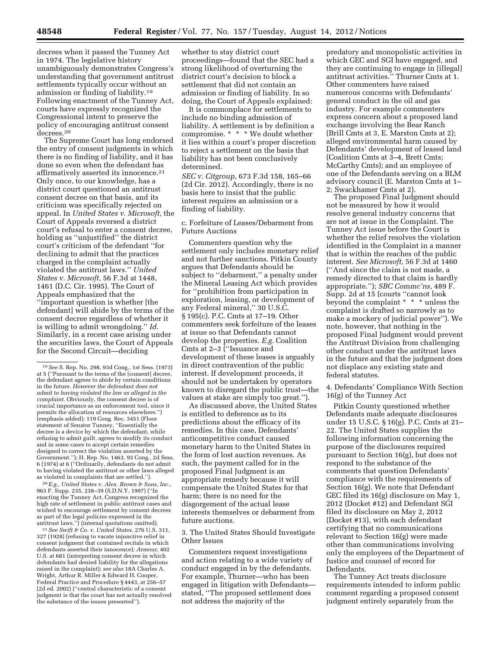decrees when it passed the Tunney Act in 1974. The legislative history unambiguously demonstrates Congress's understanding that government antitrust settlements typically occur without an admission or finding of liability.19 Following enactment of the Tunney Act, courts have expressly recognized the Congressional intent to preserve the policy of encouraging antitrust consent decrees.20

The Supreme Court has long endorsed the entry of consent judgments in which there is no finding of liability, and it has done so even when the defendant has affirmatively asserted its innocence.21 Only once, to our knowledge, has a district court questioned an antitrust consent decree on that basis, and its criticism was specifically rejected on appeal. In *United States v. Microsoft,* the Court of Appeals reversed a district court's refusal to enter a consent decree, holding as ''unjustified'' the district court's criticism of the defendant ''for declining to admit that the practices charged in the complaint actually violated the antitrust laws.'' *United States v. Microsoft,* 56 F.3d at 1448, 1461 (D.C. Cir. 1995). The Court of Appeals emphasized that the ''important question is whether [the defendant] will abide by the terms of the consent decree regardless of whether it is willing to admit wrongdoing.'' *Id.*  Similarly, in a recent case arising under the securities laws, the Court of Appeals for the Second Circuit—deciding

20*E.g., United States v. Alex. Brown & Sons, Inc.,*  963 F. Supp. 235, 238–39 (S.D.N.Y. 1997) (''In enacting the Tunney Act, Congress recognized the high rate of settlement in public antitrust cases and wished to encourage settlement by consent decrees as part of the legal policies expressed in the antitrust laws.'') (internal quotations omitted).

21*See Swift & Co. v. United States,* 276 U.S. 311, 327 (1928) (refusing to vacate injunctive relief in consent judgment that contained recitals in which defendants asserted their innocence); *Armour,* 402 U.S. at 681 (interpreting consent decree in which defendants had denied liability for the allegations raised in the complaint); *see also* 18A Charles A. Wright, Arthur R. Miller & Edward H. Cooper, Federal Practice and Procedure § 4443, at 256-57 (2d ed. 2002) (''central characteristic of a consent judgment is that the court has not actually resolved the substance of the issues presented'').

whether to stay district court proceedings—found that the SEC had a strong likelihood of overturning the district court's decision to block a settlement that did not contain an admission or finding of liability. In so doing, the Court of Appeals explained:

It is commonplace for settlements to include no binding admission of liability. A settlement is by definition a compromise. \* \* \* We doubt whether it lies within a court's proper discretion to reject a settlement on the basis that liability has not been conclusively determined.

*SEC v. Citgroup,* 673 F.3d 158, 165–66 (2d Cir. 2012). Accordingly, there is no basis here to insist that the public interest requires an admission or a finding of liability.

### c. Forfeiture of Leases/Debarment from Future Auctions

Commenters question why the settlement only includes monetary relief and not further sanctions. Pitkin County argues that Defendants should be subject to "debarment," a penalty under the Mineral Leasing Act which provides for ''prohibition from participation in exploration, leasing, or development of any Federal mineral,'' 30 U.S.C. § 195(c). P.C. Cmts at 17–19. Other commenters seek forfeiture of the leases at issue so that Defendants cannot develop the properties. *E.g.* Coalition Cmts at 2–3 (''Issuance and development of these leases is arguably in direct contravention of the public interest. If development proceeds, it should not be undertaken by operators known to disregard the public trust—the values at stake are simply too great.'').

As discussed above, the United States is entitled to deference as to its predictions about the efficacy of its remedies. In this case, Defendants' anticompetitive conduct caused monetary harm to the United States in the form of lost auction revenues. As such, the payment called for in the proposed Final Judgment is an appropriate remedy because it will compensate the United States for that harm; there is no need for the disgorgement of the actual lease interests themselves or debarment from future auctions.

# 3. The United States Should Investigate Other Issues

Commenters request investigations and action relating to a wide variety of conduct engaged in by the defendants. For example, Thurner—who has been engaged in litigation with Defendants stated, ''The proposed settlement does not address the majority of the

predatory and monopolistic activities in which GEC and SGI have engaged, and they are continuing to engage in [illegal] antitrust activities.'' Thurner Cmts at 1. Other commenters have raised numerous concerns with Defendants' general conduct in the oil and gas industry. For example commenters express concern about a proposed land exchange involving the Bear Ranch (Brill Cmts at 3, E. Marston Cmts at 2); alleged environmental harm caused by Defendants' development of leased land (Coalition Cmts at 3–4, Brett Cmts; McCarthy Cmts); and an employee of one of the Defendants serving on a BLM advisory council (E. Marston Cmts at 1– 2; Swackhamer Cmts at 2).

The proposed Final Judgment should not be measured by how it would resolve general industry concerns that are not at issue in the Complaint. The Tunney Act issue before the Court is whether the relief resolves the violation identified in the Complaint in a manner that is within the reaches of the public interest. *See Microsoft,* 56 F.3d at 1460 (''And since the claim is not made, a remedy directed to that claim is hardly appropriate.''); *SBC Commc'ns,* 489 F. Supp. 2d at 15 (courts ''cannot look beyond the complaint \* \* \* unless the complaint is drafted so narrowly as to make a mockery of judicial power''). We note, however, that nothing in the proposed Final Judgment would prevent the Antitrust Division from challenging other conduct under the antitrust laws in the future and that the judgment does not displace any existing state and federal statutes.

4. Defendants' Compliance With Section 16(g) of the Tunney Act

Pitkin County questioned whether Defendants made adequate disclosures under 15 U.S.C. § 16(g). P.C. Cmts at 21– 22. The United States supplies the following information concerning the purpose of the disclosures required pursuant to Section 16(g), but does not respond to the substance of the comments that question Defendants' compliance with the requirements of Section 16(g). We note that Defendant GEC filed its 16(g) disclosure on May 1, 2012 (Docket #12) and Defendant SGI filed its disclosure on May 2, 2012 (Docket #13), with each defendant certifying that no communications relevant to Section 16(g) were made other than communications involving only the employees of the Department of Justice and counsel of record for Defendants.

The Tunney Act treats disclosure requirements intended to inform public comment regarding a proposed consent judgment entirely separately from the

<sup>19</sup>*See* S. Rep. No. 298, 93d Cong., 1st Sess. (1973) at 5 (''Pursuant to the terms of the [consent] decree, the defendant agrees to abide by certain conditions in the future. *However the defendant does not admit to having violated the law as alleged in the complaint.* Obviously, the consent decree is of crucial importance as an enforcement tool, since it permits the allocation of resources elsewhere.'') (emphasis added); 119 Cong. Rec. 3451 (Floor statement of Senator Tunney, ''Essentially the decree is a device by which the defendant, while refusing to admit guilt, agrees to modify its conduct and in some cases to accept certain remedies designed to correct the violation asserted by the Government.''); H. Rep. No. 1463, 93 Cong., 2d Sess. 6 (1974) at 6 (''Ordinarily, defendants do not admit to having violated the antitrust or other laws alleged as violated in complaints that are settled.'').